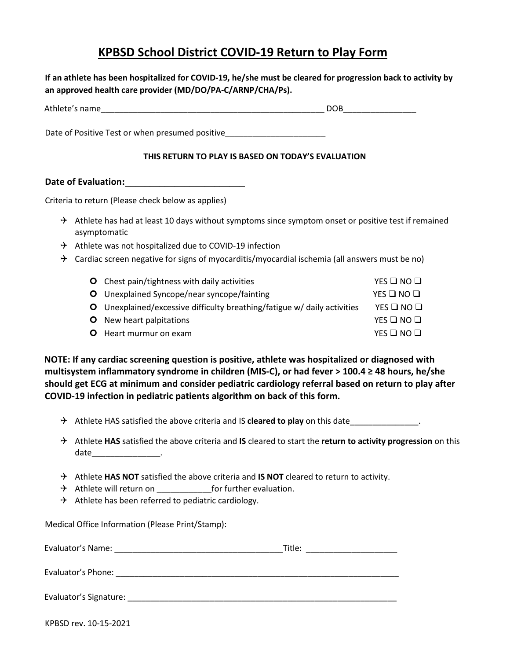## **KPBSD School District COVID-19 Return to Play Form**

**If an athlete has been hospitalized for COVID-19, he/she must be cleared for progression back to activity by an approved health care provider (MD/DO/PA-C/ARNP/CHA/Ps).**

| Ath<br>۹۱۳۳<br>. |  |
|------------------|--|
|                  |  |

Date of Positive Test or when presumed positive

## **THIS RETURN TO PLAY IS BASED ON TODAY'S EVALUATION**

**Date of Evaluation:\_\_\_\_\_\_\_\_\_\_\_\_\_\_\_\_\_\_\_\_\_\_\_\_** 

Criteria to return (Please check below as applies)

- $\rightarrow$  Athlete has had at least 10 days without symptoms since symptom onset or positive test if remained asymptomatic
- $\rightarrow$  Athlete was not hospitalized due to COVID-19 infection
- $\rightarrow$  Cardiac screen negative for signs of myocarditis/myocardial ischemia (all answers must be no)

| <b>O</b> Chest pain/tightness with daily activities                      | YES $\square$ NO $\square$ |
|--------------------------------------------------------------------------|----------------------------|
| <b>O</b> Unexplained Syncope/near syncope/fainting                       | YES $\square$ NO $\square$ |
| O Unexplained/excessive difficulty breathing/fatigue w/ daily activities | YES $\Box$ NO $\Box$       |
| <b>O</b> New heart palpitations                                          | $YES$ $\Box$ $NO$ $\Box$   |
| <b>O</b> Heart murmur on exam                                            | YES $\Box$ NO $\Box$       |

**NOTE: If any cardiac screening question is positive, athlete was hospitalized or diagnosed with multisystem inflammatory syndrome in children (MIS-C), or had fever > 100.4 ≥ 48 hours, he/she should get ECG at minimum and consider pediatric cardiology referral based on return to play after COVID-19 infection in pediatric patients algorithm on back of this form.** 

- Athlete HAS satisfied the above criteria and IS **cleared to play** on this date\_\_\_\_\_\_\_\_\_\_\_\_\_\_\_.
- Athlete **HAS** satisfied the above criteria and **IS** cleared to start the **return to activity progression** on this date\_\_\_\_\_\_\_\_\_\_\_\_\_\_\_.
- → Athlete HAS NOT satisfied the above criteria and **IS NOT** cleared to return to activity.
- $\rightarrow$  Athlete will return on  $\qquad \qquad$  for further evaluation.
- $\rightarrow$  Athlete has been referred to pediatric cardiology.

Medical Office Information (Please Print/Stamp):

| Evaluator's Name:      | Title: |
|------------------------|--------|
| Evaluator's Phone:     |        |
| Evaluator's Signature: |        |

KPBSD rev. 10-15-2021